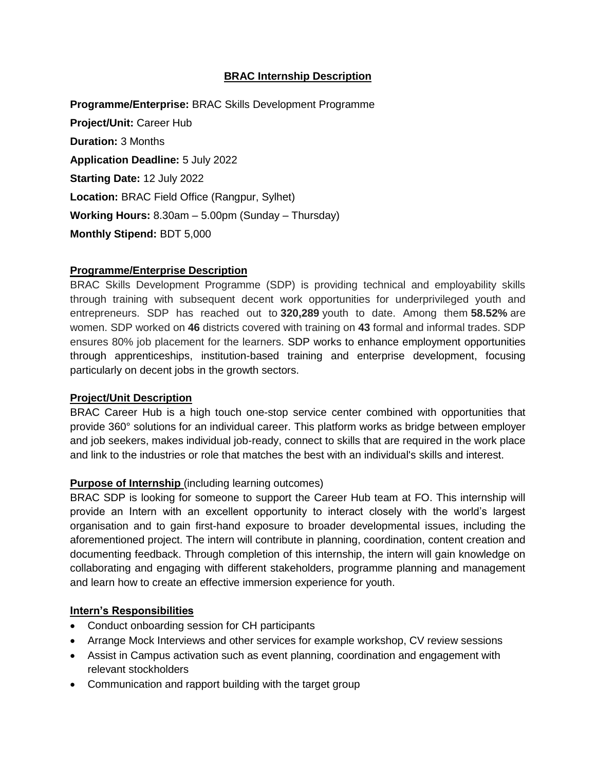# **BRAC Internship Description**

**Programme/Enterprise:** BRAC Skills Development Programme **Project/Unit:** Career Hub **Duration:** 3 Months **Application Deadline:** 5 July 2022 **Starting Date:** 12 July 2022 **Location:** BRAC Field Office (Rangpur, Sylhet) **Working Hours:** 8.30am – 5.00pm (Sunday – Thursday) **Monthly Stipend:** BDT 5,000

## **Programme/Enterprise Description**

BRAC Skills Development Programme (SDP) is providing technical and employability skills through training with subsequent decent work opportunities for underprivileged youth and entrepreneurs. SDP has reached out to **320,289** youth to date. Among them **58.52%** are women. SDP worked on **46** districts covered with training on **43** formal and informal trades. SDP ensures 80% job placement for the learners. SDP works to enhance employment opportunities through apprenticeships, institution-based training and enterprise development, focusing particularly on decent jobs in the growth sectors.

## **Project/Unit Description**

BRAC Career Hub is a high touch one-stop service center combined with opportunities that provide 360° solutions for an individual career. This platform works as bridge between employer and job seekers, makes individual job-ready, connect to skills that are required in the work place and link to the industries or role that matches the best with an individual's skills and interest.

## **Purpose of Internship** (including learning outcomes)

BRAC SDP is looking for someone to support the Career Hub team at FO. This internship will provide an Intern with an excellent opportunity to interact closely with the world's largest organisation and to gain first-hand exposure to broader developmental issues, including the aforementioned project. The intern will contribute in planning, coordination, content creation and documenting feedback. Through completion of this internship, the intern will gain knowledge on collaborating and engaging with different stakeholders, programme planning and management and learn how to create an effective immersion experience for youth.

#### **Intern's Responsibilities**

- Conduct onboarding session for CH participants
- Arrange Mock Interviews and other services for example workshop, CV review sessions
- Assist in Campus activation such as event planning, coordination and engagement with relevant stockholders
- Communication and rapport building with the target group